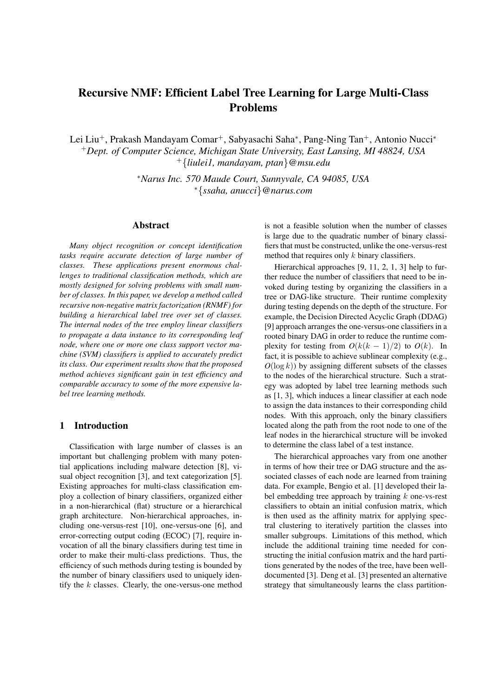# Recursive NMF: Efficient Label Tree Learning for Large Multi-Class Problems

Lei Liu<sup>+</sup>, Prakash Mandayam Comar<sup>+</sup>, Sabyasachi Saha*<sup>∗</sup>* , Pang-Ning Tan<sup>+</sup>, Antonio Nucci*<sup>∗</sup>* <sup>+</sup>*Dept. of Computer Science, Michigan State University, East Lansing, MI 48824, USA* <sup>+</sup>*{liulei1, mandayam, ptan}@msu.edu*

> *<sup>∗</sup>Narus Inc. 570 Maude Court, Sunnyvale, CA 94085, USA <sup>∗</sup>{ssaha, anucci}@narus.com*

## Abstract

*Many object recognition or concept identification tasks require accurate detection of large number of classes. These applications present enormous challenges to traditional classification methods, which are mostly designed for solving problems with small number of classes. In this paper, we develop a method called recursive non-negative matrix factorization (RNMF) for building a hierarchical label tree over set of classes. The internal nodes of the tree employ linear classifiers to propagate a data instance to its corresponding leaf node, where one or more one class support vector machine (SVM) classifiers is applied to accurately predict its class. Our experiment results show that the proposed method achieves significant gain in test efficiency and comparable accuracy to some of the more expensive label tree learning methods.*

# 1 Introduction

Classification with large number of classes is an important but challenging problem with many potential applications including malware detection [8], visual object recognition [3], and text categorization [5]. Existing approaches for multi-class classification employ a collection of binary classifiers, organized either in a non-hierarchical (flat) structure or a hierarchical graph architecture. Non-hierarchical approaches, including one-versus-rest [10], one-versus-one [6], and error-correcting output coding (ECOC) [7], require invocation of all the binary classifiers during test time in order to make their multi-class predictions. Thus, the efficiency of such methods during testing is bounded by the number of binary classifiers used to uniquely identify the *k* classes. Clearly, the one-versus-one method is not a feasible solution when the number of classes is large due to the quadratic number of binary classifiers that must be constructed, unlike the one-versus-rest method that requires only *k* binary classifiers.

Hierarchical approaches [9, 11, 2, 1, 3] help to further reduce the number of classifiers that need to be invoked during testing by organizing the classifiers in a tree or DAG-like structure. Their runtime complexity during testing depends on the depth of the structure. For example, the Decision Directed Acyclic Graph (DDAG) [9] approach arranges the one-versus-one classifiers in a rooted binary DAG in order to reduce the runtime complexity for testing from  $O(k(k-1)/2)$  to  $O(k)$ . In fact, it is possible to achieve sublinear complexity (e.g.,  $O(\log k)$ ) by assigning different subsets of the classes to the nodes of the hierarchical structure. Such a strategy was adopted by label tree learning methods such as [1, 3], which induces a linear classifier at each node to assign the data instances to their corresponding child nodes. With this approach, only the binary classifiers located along the path from the root node to one of the leaf nodes in the hierarchical structure will be invoked to determine the class label of a test instance.

The hierarchical approaches vary from one another in terms of how their tree or DAG structure and the associated classes of each node are learned from training data. For example, Bengio et al. [1] developed their label embedding tree approach by training *k* one-vs-rest classifiers to obtain an initial confusion matrix, which is then used as the affinity matrix for applying spectral clustering to iteratively partition the classes into smaller subgroups. Limitations of this method, which include the additional training time needed for constructing the initial confusion matrix and the hard partitions generated by the nodes of the tree, have been welldocumented [3]. Deng et al. [3] presented an alternative strategy that simultaneously learns the class partition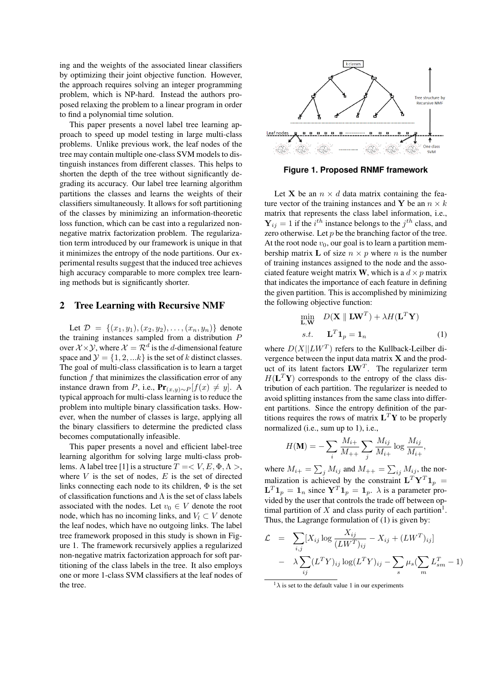ing and the weights of the associated linear classifiers by optimizing their joint objective function. However, the approach requires solving an integer programming problem, which is NP-hard. Instead the authors proposed relaxing the problem to a linear program in order to find a polynomial time solution.

This paper presents a novel label tree learning approach to speed up model testing in large multi-class problems. Unlike previous work, the leaf nodes of the tree may contain multiple one-class SVM models to distinguish instances from different classes. This helps to shorten the depth of the tree without significantly degrading its accuracy. Our label tree learning algorithm partitions the classes and learns the weights of their classifiers simultaneously. It allows for soft partitioning of the classes by minimizing an information-theoretic loss function, which can be cast into a regularized nonnegative matrix factorization problem. The regularization term introduced by our framework is unique in that it minimizes the entropy of the node partitions. Our experimental results suggest that the induced tree achieves high accuracy comparable to more complex tree learning methods but is significantly shorter.

#### 2 Tree Learning with Recursive NMF

Let  $\mathcal{D} = \{(x_1, y_1), (x_2, y_2), \dots, (x_n, y_n)\}\$  denote the training instances sampled from a distribution *P* over  $\mathcal{X} \times \mathcal{Y}$ , where  $\mathcal{X} = \mathcal{R}^d$  is the *d*-dimensional feature space and  $\mathcal{Y} = \{1, 2, \ldots k\}$  is the set of *k* distinct classes. The goal of multi-class classification is to learn a target function *f* that minimizes the classification error of any instance drawn from *P*, i.e.,  $\mathbf{Pr}_{(x,y)\sim P}[f(x) \neq y]$ . A typical approach for multi-class learning is to reduce the problem into multiple binary classification tasks. However, when the number of classes is large, applying all the binary classifiers to determine the predicted class becomes computationally infeasible.

This paper presents a novel and efficient label-tree learning algorithm for solving large multi-class problems. A label tree [1] is a structure  $T = < V, E, \Phi, \Lambda >$ , where  $V$  is the set of nodes,  $E$  is the set of directed links connecting each node to its children,  $\Phi$  is the set of classification functions and  $\Lambda$  is the set of class labels associated with the nodes. Let  $v_0 \in V$  denote the root node, which has no incoming links, and  $V_l \subset V$  denote the leaf nodes, which have no outgoing links. The label tree framework proposed in this study is shown in Figure 1. The framework recursively applies a regularized non-negative matrix factorization approach for soft partitioning of the class labels in the tree. It also employs one or more 1-class SVM classifiers at the leaf nodes of the tree.



**Figure 1. Proposed RNMF framework**

Let **X** be an  $n \times d$  data matrix containing the feature vector of the training instances and **Y** be an  $n \times k$ matrix that represents the class label information, i.e.,  $Y_{ij} = 1$  if the *i*<sup>th</sup> instance belongs to the *j*<sup>th</sup> class, and zero otherwise. Let  $p$  be the branching factor of the tree. At the root node  $v_0$ , our goal is to learn a partition membership matrix **L** of size  $n \times p$  where *n* is the number of training instances assigned to the node and the associated feature weight matrix **W**, which is a  $d \times p$  matrix that indicates the importance of each feature in defining the given partition. This is accomplished by minimizing the following objective function:

$$
\min_{\mathbf{L}, \mathbf{W}} \quad D(\mathbf{X} \parallel \mathbf{L}\mathbf{W}^T) + \lambda H(\mathbf{L}^T \mathbf{Y})
$$
\n*s.t.*\n
$$
\mathbf{L}^T \mathbf{1}_p = \mathbf{1}_n \tag{1}
$$

where  $D(X||LW^T)$  refers to the Kullback-Leilber divergence between the input data matrix **X** and the product of its latent factors **LW***<sup>T</sup>* . The regularizer term  $H(L^T \mathbf{Y})$  corresponds to the entropy of the class distribution of each partition. The regularizer is needed to avoid splitting instances from the same class into different partitions. Since the entropy definition of the partitions requires the rows of matrix  $L^T Y$  to be properly normalized (i.e., sum up to 1), i.e.,

$$
H(\mathbf{M}) = -\sum_{i} \frac{M_{i+}}{M_{++}} \sum_{j} \frac{M_{ij}}{M_{i+}} \log \frac{M_{ij}}{M_{i+}},
$$

where  $M_{i+} = \sum_j M_{ij}$  and  $M_{++} = \sum_{ij} M_{ij}$ , the normalization is achieved by the constraint  $\mathbf{L}^T \mathbf{Y}^T \mathbf{1}_p =$  $\mathbf{L}^T \mathbf{1}_p = \mathbf{1}_n$  since  $\mathbf{Y}^T \mathbf{1}_p = \mathbf{1}_p$ .  $\lambda$  is a parameter provided by the user that controls the trade off between optimal partition of  $X$  and class purity of each partition<sup>1</sup>. Thus, the Lagrange formulation of (1) is given by:

$$
\mathcal{L} = \sum_{i,j} [X_{ij} \log \frac{X_{ij}}{(LW^T)_{ij}} - X_{ij} + (LW^T)_{ij}]
$$

$$
- \lambda \sum_{ij} (L^T Y)_{ij} \log (L^T Y)_{ij} - \sum_s \mu_s (\sum_m L_{sm}^T - 1)
$$

 $1\lambda$  is set to the default value 1 in our experiments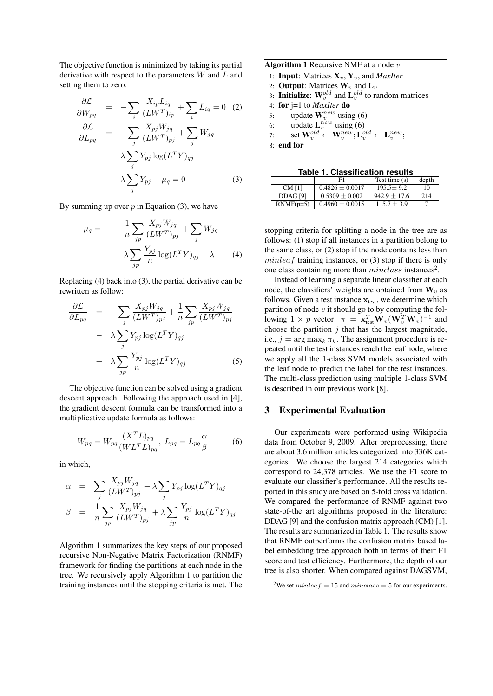The objective function is minimized by taking its partial derivative with respect to the parameters *W* and *L* and setting them to zero:

$$
\frac{\partial \mathcal{L}}{\partial W_{pq}} = -\sum_{i} \frac{X_{ip} L_{iq}}{(LW^{T})_{ip}} + \sum_{i} L_{iq} = 0 \quad (2)
$$

$$
\frac{\partial \mathcal{L}}{\partial L_{pq}} = -\sum_{j} \frac{X_{pj} W_{jq}}{(LW^{T})_{pj}} + \sum_{j} W_{jq}
$$

$$
- \lambda \sum_{j} Y_{pj} \log(L^{T} Y)_{qj}
$$

$$
- \lambda \sum_{j} Y_{pj} - \mu_{q} = 0 \quad (3)
$$

By summing up over *p* in Equation (3), we have

$$
\mu_q = -\frac{1}{n} \sum_{jp} \frac{X_{pj} W_{jq}}{(LW^T)_{pj}} + \sum_j W_{jq}
$$

$$
-\lambda \sum_{jp} \frac{Y_{pj}}{n} \log(L^T Y)_{qj} - \lambda \tag{4}
$$

Replacing (4) back into (3), the partial derivative can be rewritten as follow:

$$
\frac{\partial \mathcal{L}}{\partial L_{pq}} = -\sum_{j} \frac{X_{pj} W_{jq}}{(LW^T)_{pj}} + \frac{1}{n} \sum_{jp} \frac{X_{pj} W_{jq}}{(LW^T)_{pj}}
$$

$$
- \lambda \sum_{j} Y_{pj} \log(L^T Y)_{qj}
$$

$$
+ \lambda \sum_{jp} \frac{Y_{pj}}{n} \log(L^T Y)_{qj}
$$
(5)

The objective function can be solved using a gradient descent approach. Following the approach used in [4], the gradient descent formula can be transformed into a multiplicative update formula as follows:

$$
W_{pq} = W_{pq} \frac{(X^T L)_{pq}}{(W L^T L)_{pq}}, L_{pq} = L_{pq} \frac{\alpha}{\beta}
$$
 (6)

in which,

$$
\alpha = \sum_{j} \frac{X_{pj} W_{jq}}{(LW^T)_{pj}} + \lambda \sum_{j} Y_{pj} \log(L^T Y)_{qj}
$$

$$
\beta = \frac{1}{n} \sum_{jp} \frac{X_{pj} W_{jq}}{(LW^T)_{pj}} + \lambda \sum_{jp} \frac{Y_{pj}}{n} \log(L^T Y)_{qj}
$$

Algorithm 1 summarizes the key steps of our proposed recursive Non-Negative Matrix Factorization (RNMF) framework for finding the partitions at each node in the tree. We recursively apply Algorithm 1 to partition the training instances until the stopping criteria is met. The

| <b>Algorithm 1</b> Recursive NMF at a node $v$ |                                                                                                           |  |  |
|------------------------------------------------|-----------------------------------------------------------------------------------------------------------|--|--|
|                                                | 1: <b>Input:</b> Matrices $X_v$ , $Y_v$ , and <i>MaxIter</i>                                              |  |  |
|                                                | 2: <b>Output:</b> Matrices $W_v$ and $L_v$                                                                |  |  |
|                                                | 3: <b>Initialize:</b> $W_v^{old}$ and $L_v^{old}$ to random matrices                                      |  |  |
|                                                | 4: for $i=1$ to <i>MaxIter</i> do                                                                         |  |  |
| 5:                                             | update $W_v^{new}$ using (6)                                                                              |  |  |
|                                                | update $\mathbf{L}_v^{new}$ using (6)<br>6:                                                               |  |  |
| 7:                                             | set $\mathbf{W}_v^{old} \leftarrow \mathbf{W}_v^{new}; \mathbf{L}_v^{old} \leftarrow \mathbf{L}_v^{new};$ |  |  |
|                                                | 8: end for                                                                                                |  |  |

**Table 1. Classification results**

|               | F1                  | Test time $(s)$ | depth |  |
|---------------|---------------------|-----------------|-------|--|
| <b>CM</b> [1] | $0.4826 \pm 0.0017$ | $195.5 + 9.2$   | 10    |  |
| DDAG [9]      | $0.5309 \pm 0.002$  | $942.9 + 17.6$  | 214   |  |
| $RNMF(p=5)$   | $0.4960 \pm 0.0015$ | $115.7 \pm 3.9$ |       |  |

stopping criteria for splitting a node in the tree are as follows: (1) stop if all instances in a partition belong to the same class, or (2) stop if the node contains less than *minleaf* training instances, or (3) stop if there is only one class containing more than *minclass* instances<sup>2</sup>.

Instead of learning a separate linear classifier at each node, the classifiers' weights are obtained from  $W_v$  as follows. Given a test instance  $\mathbf{x}_{test}$ , we determine which partition of node *v* it should go to by computing the following 1 *× p* vector:  $\pi = \mathbf{x}_{\text{test}}^T \mathbf{W}_v(\mathbf{W}_v^T \mathbf{W}_v)^{-1}$  and choose the partition  $j$  that has the largest magnitude, i.e.,  $j = \arg \max_k \pi_k$ . The assignment procedure is repeated until the test instances reach the leaf node, where we apply all the 1-class SVM models associated with the leaf node to predict the label for the test instances. The multi-class prediction using multiple 1-class SVM is described in our previous work [8].

## 3 Experimental Evaluation

Our experiments were performed using Wikipedia data from October 9, 2009. After preprocessing, there are about 3.6 million articles categorized into 336K categories. We choose the largest 214 categories which correspond to 24,378 articles. We use the F1 score to evaluate our classifier's performance. All the results reported in this study are based on 5-fold cross validation. We compared the performance of RNMF against two state-of-the art algorithms proposed in the literature: DDAG [9] and the confusion matrix approach (CM) [1]. The results are summarized in Table 1. The results show that RNMF outperforms the confusion matrix based label embedding tree approach both in terms of their F1 score and test efficiency. Furthermore, the depth of our tree is also shorter. When compared against DAGSVM,

<sup>&</sup>lt;sup>2</sup>We set *minleaf* = 15 and *minclass* = 5 for our experiments.